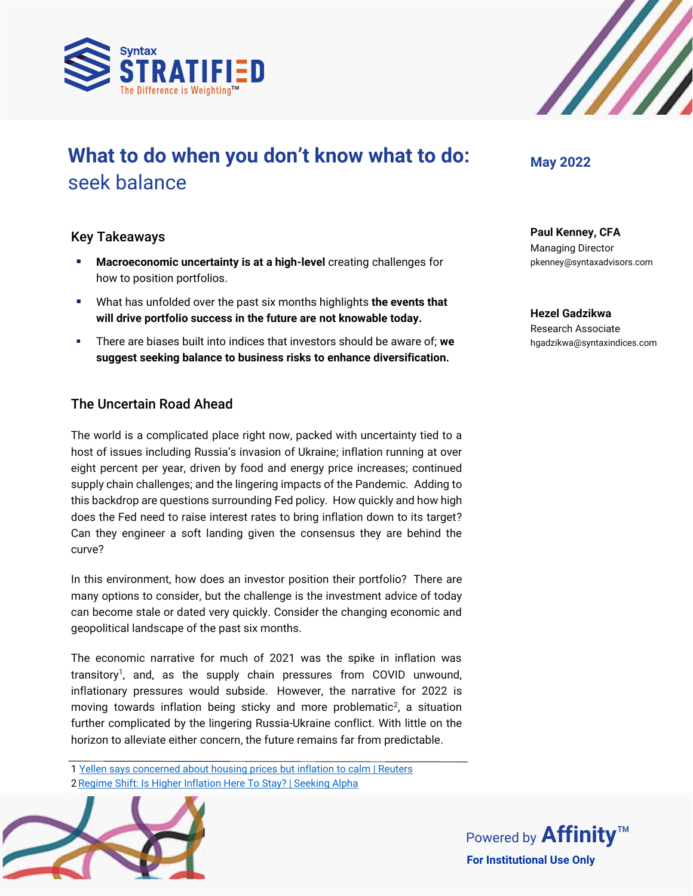



# **What to do when you don't know what to do:**  seek balance

## Key Takeaways

- **Macroeconomic uncertainty is at a high-level** creating challenges for how to position portfolios.
- What has unfolded over the past six months highlights **the events that will drive portfolio success in the future are not knowable today.**
- There are biases built into indices that investors should be aware of; **we suggest seeking balance to business risks to enhance diversification.**

## The Uncertain Road Ahead

The world is a complicated place right now, packed with uncertainty tied to a host of issues including Russia's invasion of Ukraine; inflation running at over eight percent per year, driven by food and energy price increases; continued supply chain challenges; and the lingering impacts of the Pandemic. Adding to this backdrop are questions surrounding Fed policy. How quickly and how high does the Fed need to raise interest rates to bring inflation down to its target? Can they engineer a soft landing given the consensus they are behind the curve?

In this environment, how does an investor position their portfolio? There are many options to consider, but the challenge is the investment advice of today can become stale or dated very quickly. Consider the changing economic and geopolitical landscape of the past six months.

The economic narrative for much of 2021 was the spike in inflation was transitory<sup>1</sup>, and, as the supply chain pressures from COVID unwound, inflationary pressures would subside. However, the narrative for 2022 is moving towards inflation being sticky and more problematic<sup>2</sup>, a situation further complicated by the lingering Russia-Ukraine conflict. With little on the horizon to alleviate either concern, the future remains far from predictable.

1 [Yellen says concerned about housing prices but inflation to calm | Reuters](https://www.reuters.com/business/yellen-says-concerned-about-housing-prices-inflation-calm-2021-07-15/) 2 [Regime Shift: Is Higher Inflation Here To Stay? | Seeking Alpha](https://seekingalpha.com/article/4513052-regime-shift-higher-inflation-here-to-stay)



## **May 2022**

**Paul Kenney, CFA** Managing Director pkenney@syntaxadvisors.com

**Hezel Gadzikwa** Research Associate hgadzikwa@syntaxindices.com

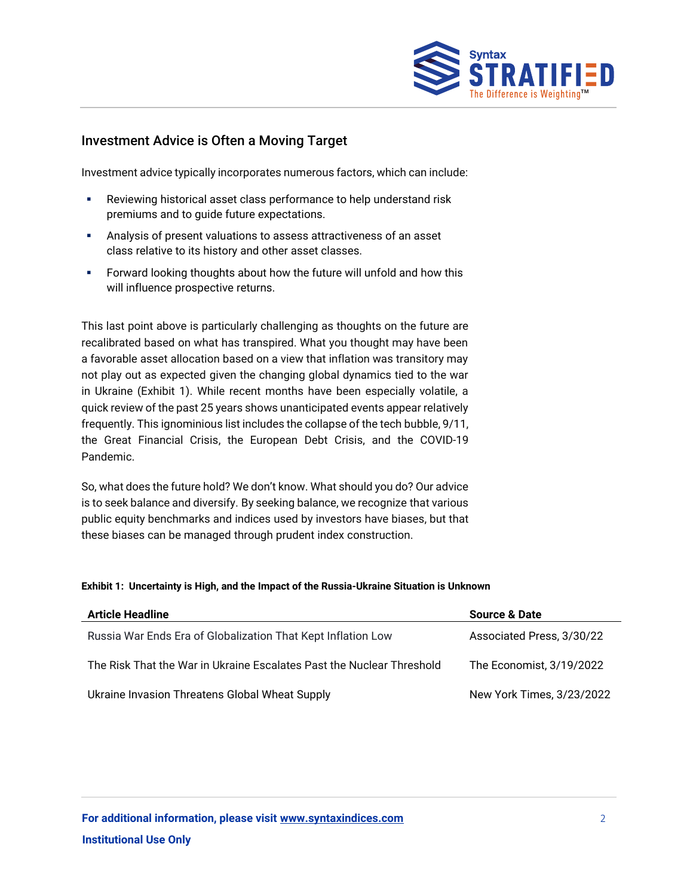

## Investment Advice is Often a Moving Target

Investment advice typically incorporates numerous factors, which can include:

- Reviewing historical asset class performance to help understand risk premiums and to guide future expectations.
- Analysis of present valuations to assess attractiveness of an asset class relative to its history and other asset classes.
- Forward looking thoughts about how the future will unfold and how this will influence prospective returns.

This last point above is particularly challenging as thoughts on the future are recalibrated based on what has transpired. What you thought may have been a favorable asset allocation based on a view that inflation was transitory may not play out as expected given the changing global dynamics tied to the war in Ukraine (Exhibit 1). While recent months have been especially volatile, a quick review of the past 25 years shows unanticipated events appear relatively frequently. This ignominious list includes the collapse of the tech bubble, 9/11, the Great Financial Crisis, the European Debt Crisis, and the COVID-19 Pandemic.

So, what does the future hold? We don't know. What should you do? Our advice is to seek balance and diversify. By seeking balance, we recognize that various public equity benchmarks and indices used by investors have biases, but that these biases can be managed through prudent index construction.

#### **Exhibit 1: Uncertainty is High, and the Impact of the Russia-Ukraine Situation is Unknown**

| <b>Article Headline</b>                                               | <b>Source &amp; Date</b>  |
|-----------------------------------------------------------------------|---------------------------|
| Russia War Ends Era of Globalization That Kept Inflation Low          | Associated Press, 3/30/22 |
| The Risk That the War in Ukraine Escalates Past the Nuclear Threshold | The Economist, 3/19/2022  |
| Ukraine Invasion Threatens Global Wheat Supply                        | New York Times, 3/23/2022 |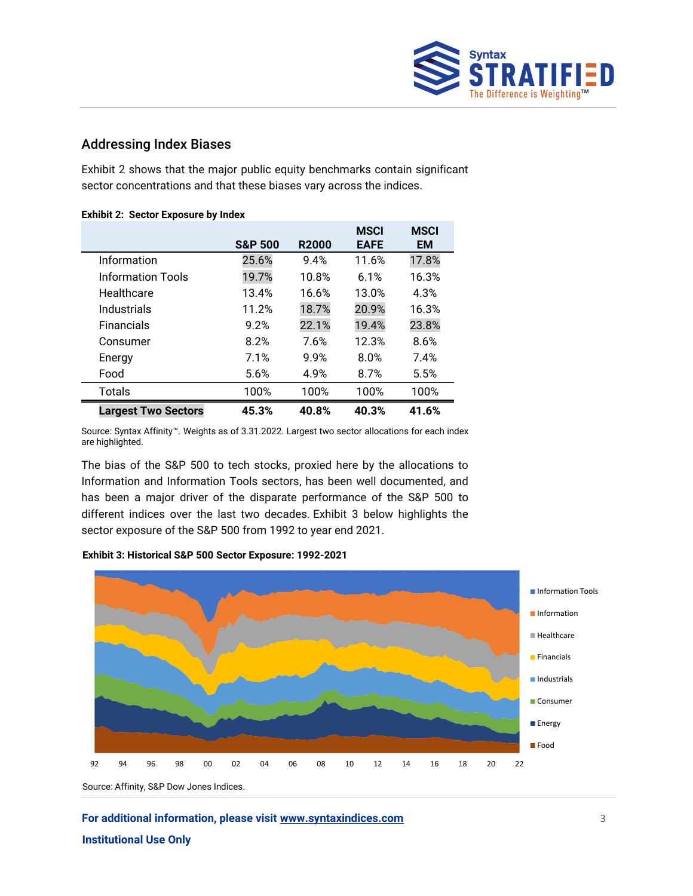

## Addressing Index Biases

Exhibit 2 shows that the major public equity benchmarks contain significant sector concentrations and that these biases vary across the indices.

|                            | <b>S&amp;P 500</b> | <b>R2000</b> | <b>MSCI</b><br><b>EAFE</b> | <b>MSCI</b><br><b>EM</b> |
|----------------------------|--------------------|--------------|----------------------------|--------------------------|
| Information                | 25.6%              | 9.4%         | 11.6%                      | 17.8%                    |
| <b>Information Tools</b>   | 19.7%              | 10.8%        | 6.1%                       | 16.3%                    |
| Healthcare                 | 13.4%              | 16.6%        | 13.0%                      | 4.3%                     |
| Industrials                | 11.2%              | 18.7%        | 20.9%                      | 16.3%                    |
| <b>Financials</b>          | 9.2%               | 22.1%        | 19.4%                      | 23.8%                    |
| Consumer                   | 8.2%               | 7.6%         | 12.3%                      | 8.6%                     |
| Energy                     | 7.1%               | 9.9%         | 8.0%                       | 7.4%                     |
| Food                       | 5.6%               | 4.9%         | 8.7%                       | 5.5%                     |
| <b>Totals</b>              | 100%               | 100%         | 100%                       | 100%                     |
| <b>Largest Two Sectors</b> | 45.3%              | 40.8%        | 40.3%                      | 41.6%                    |

#### **Exhibit 2: Sector Exposure by Index**

Source: Syntax Affinity™. Weights as of 3.31.2022. Largest two sector allocations for each index are highlighted.

The bias of the S&P 500 to tech stocks, proxied here by the allocations to Information and Information Tools sectors, has been well documented, and has been a major driver of the disparate performance of the S&P 500 to different indices over the last two decades. Exhibit 3 below highlights the sector exposure of the S&P 500 from 1992 to year end 2021.





Source: Affinity, S&P Dow Jones Indices.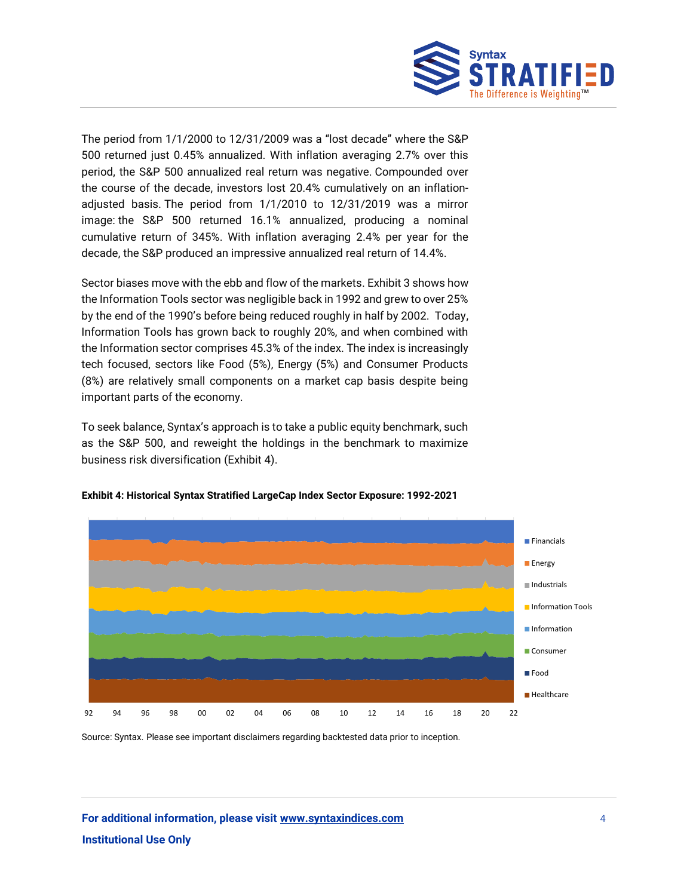

The period from 1/1/2000 to 12/31/2009 was a "lost decade" where the S&P 500 returned just 0.45% annualized. With inflation averaging 2.7% over this period, the S&P 500 annualized real return was negative. Compounded over the course of the decade, investors lost 20.4% cumulatively on an inflationadjusted basis. The period from 1/1/2010 to 12/31/2019 was a mirror image: the S&P 500 returned 16.1% annualized, producing a nominal cumulative return of 345%. With inflation averaging 2.4% per year for the decade, the S&P produced an impressive annualized real return of 14.4%.

Sector biases move with the ebb and flow of the markets. Exhibit 3 shows how the Information Tools sector was negligible back in 1992 and grew to over 25% by the end of the 1990's before being reduced roughly in half by 2002. Today, Information Tools has grown back to roughly 20%, and when combined with the Information sector comprises 45.3% of the index. The index is increasingly tech focused, sectors like Food (5%), Energy (5%) and Consumer Products (8%) are relatively small components on a market cap basis despite being important parts of the economy.

To seek balance, Syntax's approach is to take a public equity benchmark, such as the S&P 500, and reweight the holdings in the benchmark to maximize business risk diversification (Exhibit 4).



#### **Exhibit 4: Historical Syntax Stratified LargeCap Index Sector Exposure: 1992-2021**

Source: Syntax. Please see important disclaimers regarding backtested data prior to inception.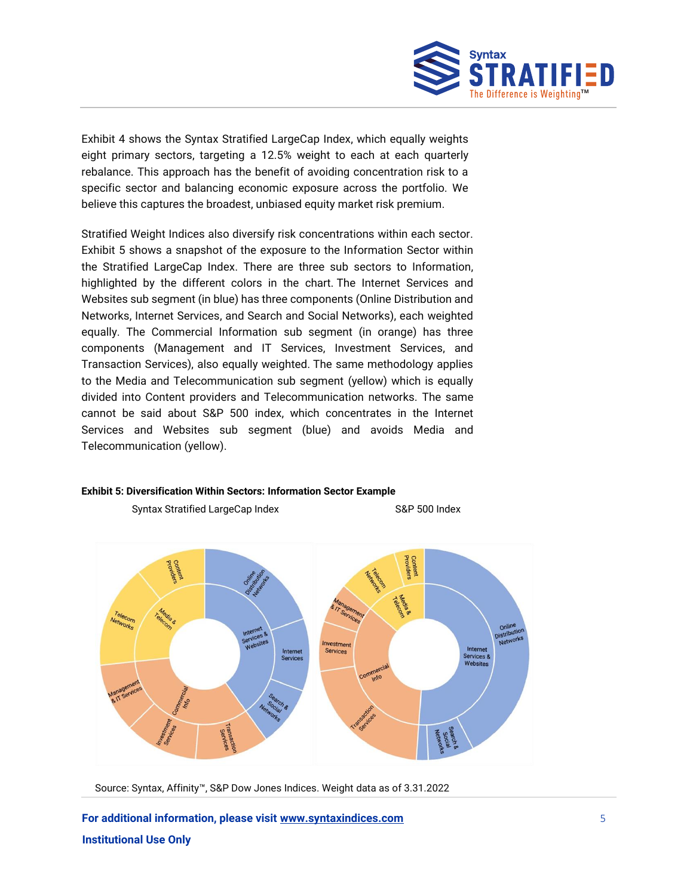

Exhibit 4 shows the Syntax Stratified LargeCap Index, which equally weights eight primary sectors, targeting a 12.5% weight to each at each quarterly rebalance. This approach has the benefit of avoiding concentration risk to a specific sector and balancing economic exposure across the portfolio. We believe this captures the broadest, unbiased equity market risk premium.

Stratified Weight Indices also diversify risk concentrations within each sector. Exhibit 5 shows a snapshot of the exposure to the Information Sector within the Stratified LargeCap Index. There are three sub sectors to Information, highlighted by the different colors in the chart. The Internet Services and Websites sub segment (in blue) has three components (Online Distribution and Networks, Internet Services, and Search and Social Networks), each weighted equally. The Commercial Information sub segment (in orange) has three components (Management and IT Services, Investment Services, and Transaction Services), also equally weighted. The same methodology applies to the Media and Telecommunication sub segment (yellow) which is equally divided into Content providers and Telecommunication networks. The same cannot be said about S&P 500 index, which concentrates in the Internet Services and Websites sub segment (blue) and avoids Media and Telecommunication (yellow).

#### **Exhibit 5: Diversification Within Sectors: Information Sector Example**

Syntax Stratified LargeCap Index S&P 500 Index



Source: Syntax, Affinity™, S&P Dow Jones Indices. Weight data as of 3.31.2022

**For additional information, please visit [www.syntaxindices.com](http://www.syntaxindices.com/)** 5 **Institutional Use Only**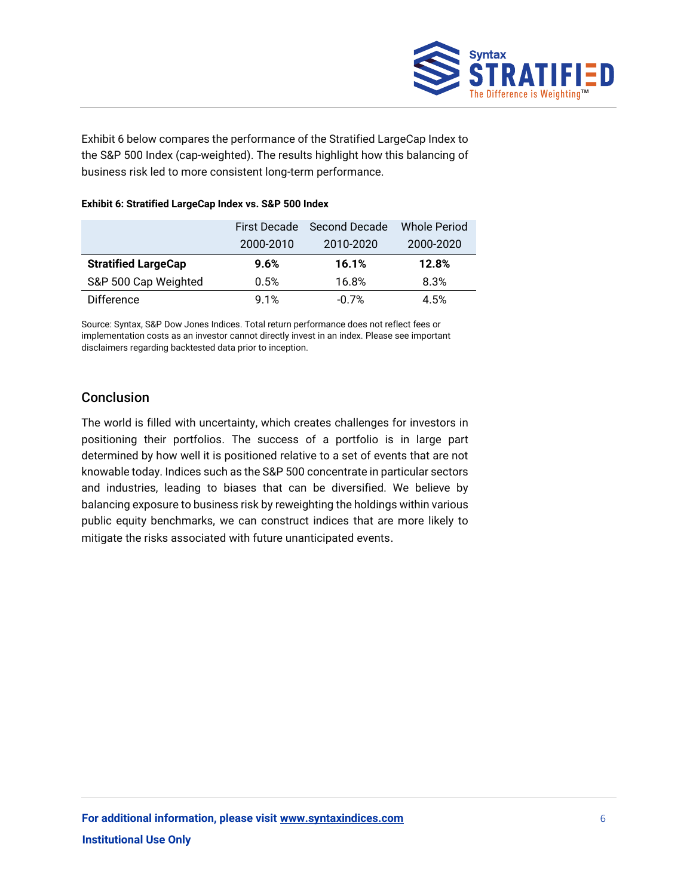

Exhibit 6 below compares the performance of the Stratified LargeCap Index to the S&P 500 Index (cap-weighted). The results highlight how this balancing of business risk led to more consistent long-term performance.

#### **Exhibit 6: Stratified LargeCap Index vs. S&P 500 Index**

|                            |           | First Decade Second Decade | Whole Period |
|----------------------------|-----------|----------------------------|--------------|
|                            | 2000-2010 | 2010-2020                  | 2000-2020    |
| <b>Stratified LargeCap</b> | 9.6%      | 16.1%                      | 12.8%        |
| S&P 500 Cap Weighted       | 0.5%      | 16.8%                      | 8.3%         |
| <b>Difference</b>          | 9.1%      | $-0.7%$                    | 4.5%         |

Source: Syntax, S&P Dow Jones Indices. Total return performance does not reflect fees or implementation costs as an investor cannot directly invest in an index. Please see important disclaimers regarding backtested data prior to inception.

## Conclusion

The world is filled with uncertainty, which creates challenges for investors in positioning their portfolios. The success of a portfolio is in large part determined by how well it is positioned relative to a set of events that are not knowable today. Indices such as the S&P 500 concentrate in particular sectors and industries, leading to biases that can be diversified. We believe by balancing exposure to business risk by reweighting the holdings within various public equity benchmarks, we can construct indices that are more likely to mitigate the risks associated with future unanticipated events.